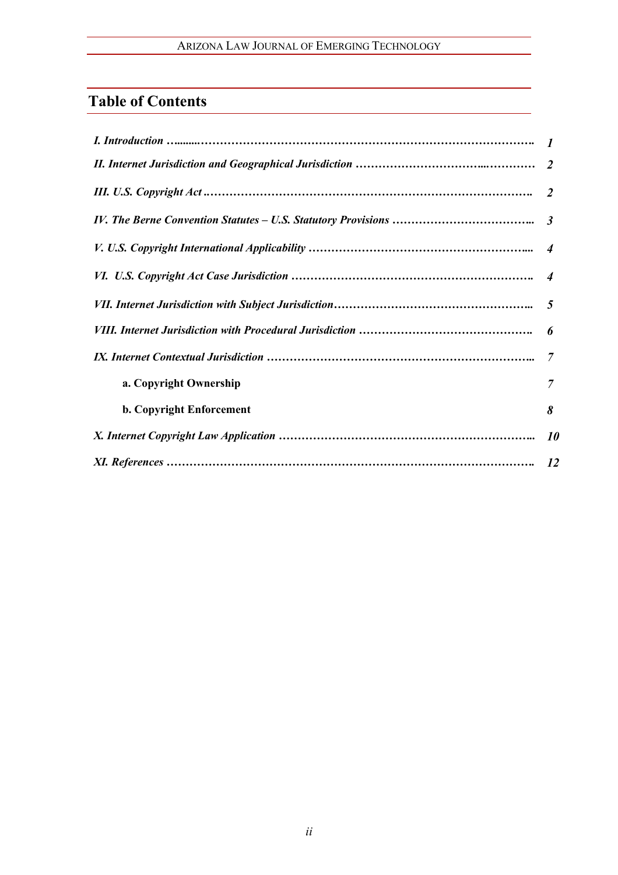#### ARIZONA LAW JOURNAL OF EMERGING TECHNOLOGY

# **Table of Contents**

|                                 | $\overline{\phantom{a}}$ |
|---------------------------------|--------------------------|
|                                 |                          |
|                                 |                          |
|                                 |                          |
|                                 |                          |
|                                 | 6                        |
|                                 | $\overline{7}$           |
| a. Copyright Ownership          | 7                        |
| <b>b. Copyright Enforcement</b> | 8                        |
|                                 |                          |
|                                 |                          |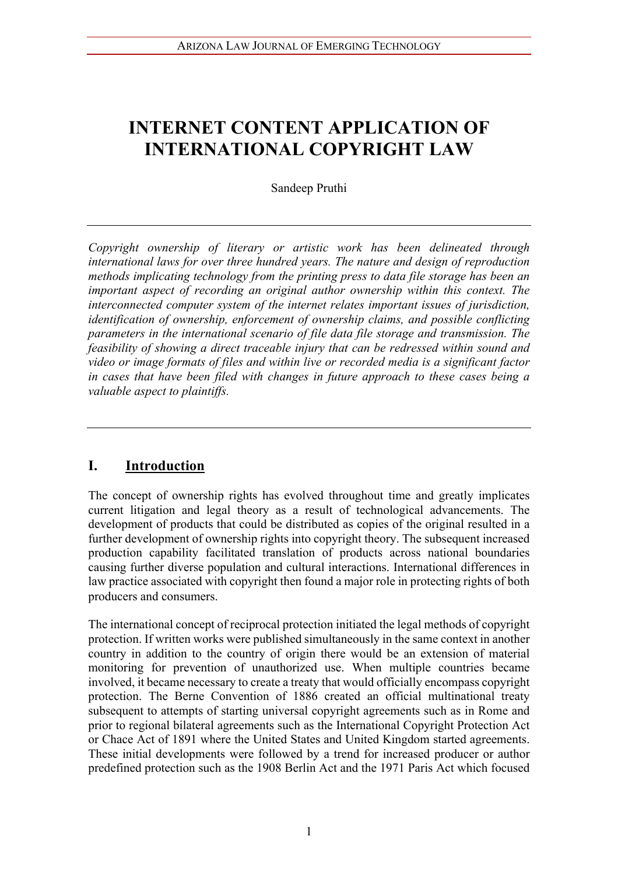# **INTERNET CONTENT APPLICATION OF INTERNATIONAL COPYRIGHT LAW**

Sandeep Pruthi

*Copyright ownership of literary or artistic work has been delineated through international laws for over three hundred years. The nature and design of reproduction methods implicating technology from the printing press to data file storage has been an important aspect of recording an original author ownership within this context. The interconnected computer system of the internet relates important issues of jurisdiction, identification of ownership, enforcement of ownership claims, and possible conflicting parameters in the international scenario of file data file storage and transmission. The feasibility of showing a direct traceable injury that can be redressed within sound and video or image formats of files and within live or recorded media is a significant factor in cases that have been filed with changes in future approach to these cases being a valuable aspect to plaintiffs.* 

#### **I. Introduction**

The concept of ownership rights has evolved throughout time and greatly implicates current litigation and legal theory as a result of technological advancements. The development of products that could be distributed as copies of the original resulted in a further development of ownership rights into copyright theory. The subsequent increased production capability facilitated translation of products across national boundaries causing further diverse population and cultural interactions. International differences in law practice associated with copyright then found a major role in protecting rights of both producers and consumers.

The international concept of reciprocal protection initiated the legal methods of copyright protection. If written works were published simultaneously in the same context in another country in addition to the country of origin there would be an extension of material monitoring for prevention of unauthorized use. When multiple countries became involved, it became necessary to create a treaty that would officially encompass copyright protection. The Berne Convention of 1886 created an official multinational treaty subsequent to attempts of starting universal copyright agreements such as in Rome and prior to regional bilateral agreements such as the International Copyright Protection Act or Chace Act of 1891 where the United States and United Kingdom started agreements. These initial developments were followed by a trend for increased producer or author predefined protection such as the 1908 Berlin Act and the 1971 Paris Act which focused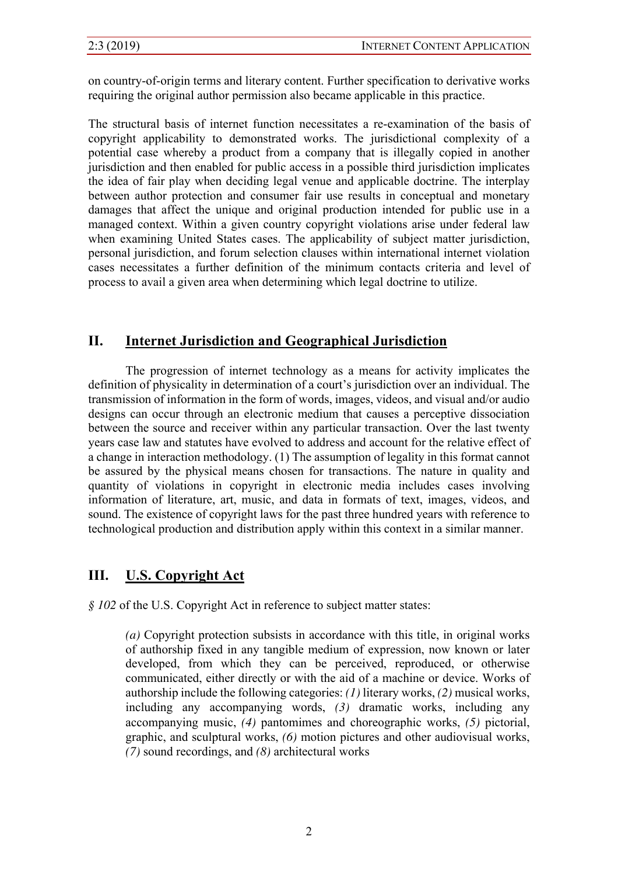on country-of-origin terms and literary content. Further specification to derivative works requiring the original author permission also became applicable in this practice.

The structural basis of internet function necessitates a re-examination of the basis of copyright applicability to demonstrated works. The jurisdictional complexity of a potential case whereby a product from a company that is illegally copied in another jurisdiction and then enabled for public access in a possible third jurisdiction implicates the idea of fair play when deciding legal venue and applicable doctrine. The interplay between author protection and consumer fair use results in conceptual and monetary damages that affect the unique and original production intended for public use in a managed context. Within a given country copyright violations arise under federal law when examining United States cases. The applicability of subject matter jurisdiction, personal jurisdiction, and forum selection clauses within international internet violation cases necessitates a further definition of the minimum contacts criteria and level of process to avail a given area when determining which legal doctrine to utilize.

### **II. Internet Jurisdiction and Geographical Jurisdiction**

The progression of internet technology as a means for activity implicates the definition of physicality in determination of a court's jurisdiction over an individual. The transmission of information in the form of words, images, videos, and visual and/or audio designs can occur through an electronic medium that causes a perceptive dissociation between the source and receiver within any particular transaction. Over the last twenty years case law and statutes have evolved to address and account for the relative effect of a change in interaction methodology. (1) The assumption of legality in this format cannot be assured by the physical means chosen for transactions. The nature in quality and quantity of violations in copyright in electronic media includes cases involving information of literature, art, music, and data in formats of text, images, videos, and sound. The existence of copyright laws for the past three hundred years with reference to technological production and distribution apply within this context in a similar manner.

#### **III. U.S. Copyright Act**

*§ 102* of the U.S. Copyright Act in reference to subject matter states:

*(a)* Copyright protection subsists in accordance with this title, in original works of authorship fixed in any tangible medium of expression, now known or later developed, from which they can be perceived, reproduced, or otherwise communicated, either directly or with the aid of a machine or device. Works of authorship include the following categories: *(1)* literary works, *(2)* musical works, including any accompanying words, *(3)* dramatic works, including any accompanying music, *(4)* pantomimes and choreographic works, *(5)* pictorial, graphic, and sculptural works, *(6)* motion pictures and other audiovisual works, *(7)* sound recordings, and *(8)* architectural works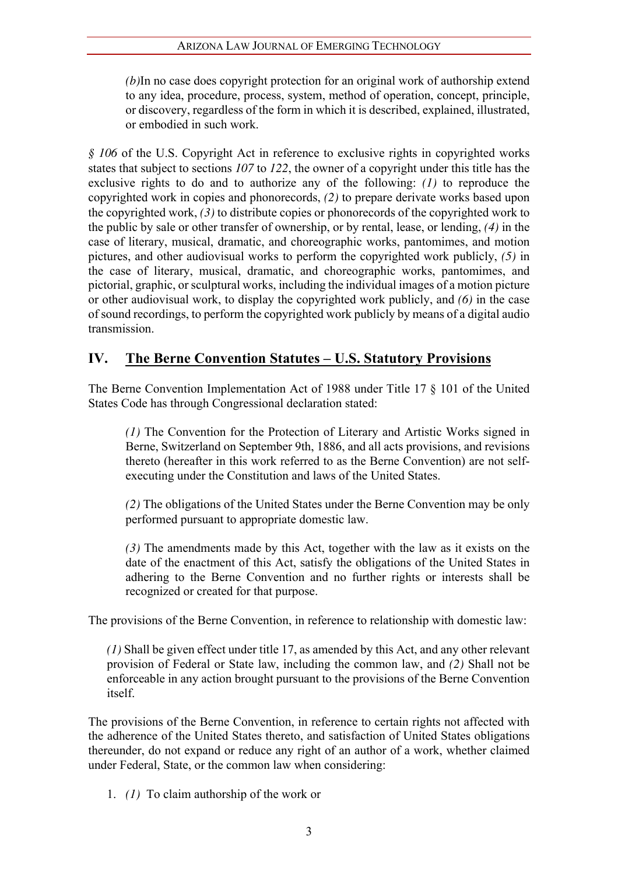*(b)*In no case does copyright protection for an original work of authorship extend to any idea, procedure, process, system, method of operation, concept, principle, or discovery, regardless of the form in which it is described, explained, illustrated, or embodied in such work.

*§ 106* of the U.S. Copyright Act in reference to exclusive rights in copyrighted works states that subject to sections *107* to *122*, the owner of a copyright under this title has the exclusive rights to do and to authorize any of the following: *(1)* to reproduce the copyrighted work in copies and phonorecords, *(2)* to prepare derivate works based upon the copyrighted work, *(3)* to distribute copies or phonorecords of the copyrighted work to the public by sale or other transfer of ownership, or by rental, lease, or lending, *(4)* in the case of literary, musical, dramatic, and choreographic works, pantomimes, and motion pictures, and other audiovisual works to perform the copyrighted work publicly, *(5)* in the case of literary, musical, dramatic, and choreographic works, pantomimes, and pictorial, graphic, or sculptural works, including the individual images of a motion picture or other audiovisual work, to display the copyrighted work publicly, and *(6)* in the case of sound recordings, to perform the copyrighted work publicly by means of a digital audio transmission.

# **IV. The Berne Convention Statutes – U.S. Statutory Provisions**

The Berne Convention Implementation Act of 1988 under Title 17 § 101 of the United States Code has through Congressional declaration stated:

*(1)* The Convention for the Protection of Literary and Artistic Works signed in Berne, Switzerland on September 9th, 1886, and all acts provisions, and revisions thereto (hereafter in this work referred to as the Berne Convention) are not selfexecuting under the Constitution and laws of the United States.

*(2)* The obligations of the United States under the Berne Convention may be only performed pursuant to appropriate domestic law.

*(3)* The amendments made by this Act, together with the law as it exists on the date of the enactment of this Act, satisfy the obligations of the United States in adhering to the Berne Convention and no further rights or interests shall be recognized or created for that purpose.

The provisions of the Berne Convention, in reference to relationship with domestic law:

*(1)* Shall be given effect under title 17, as amended by this Act, and any other relevant provision of Federal or State law, including the common law, and *(2)* Shall not be enforceable in any action brought pursuant to the provisions of the Berne Convention itself.

The provisions of the Berne Convention, in reference to certain rights not affected with the adherence of the United States thereto, and satisfaction of United States obligations thereunder, do not expand or reduce any right of an author of a work, whether claimed under Federal, State, or the common law when considering:

1. *(1)* To claim authorship of the work or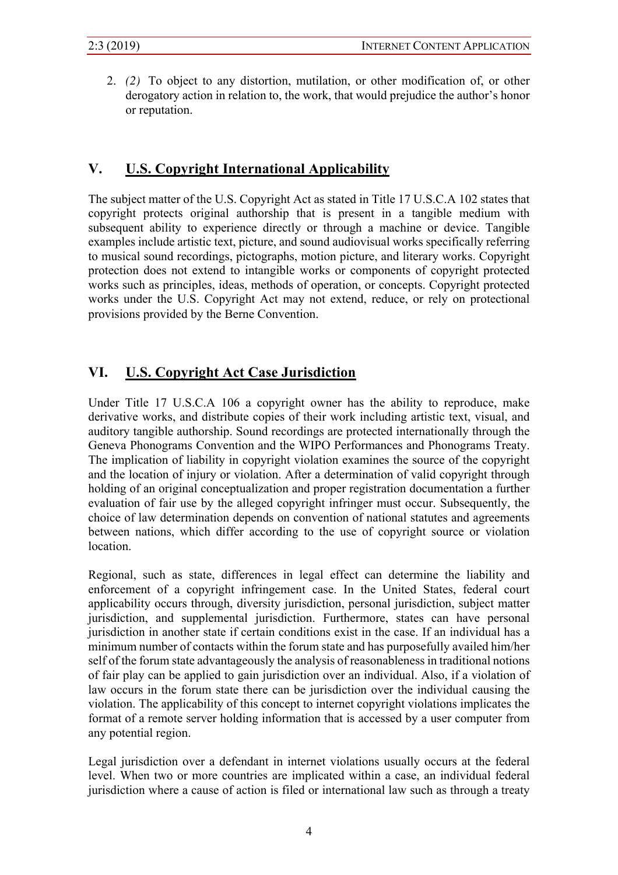2. *(2)* To object to any distortion, mutilation, or other modification of, or other derogatory action in relation to, the work, that would prejudice the author's honor or reputation.

# **V. U.S. Copyright International Applicability**

The subject matter of the U.S. Copyright Act as stated in Title 17 U.S.C.A 102 states that copyright protects original authorship that is present in a tangible medium with subsequent ability to experience directly or through a machine or device. Tangible examples include artistic text, picture, and sound audiovisual works specifically referring to musical sound recordings, pictographs, motion picture, and literary works. Copyright protection does not extend to intangible works or components of copyright protected works such as principles, ideas, methods of operation, or concepts. Copyright protected works under the U.S. Copyright Act may not extend, reduce, or rely on protectional provisions provided by the Berne Convention.

# **VI. U.S. Copyright Act Case Jurisdiction**

Under Title 17 U.S.C.A 106 a copyright owner has the ability to reproduce, make derivative works, and distribute copies of their work including artistic text, visual, and auditory tangible authorship. Sound recordings are protected internationally through the Geneva Phonograms Convention and the WIPO Performances and Phonograms Treaty. The implication of liability in copyright violation examines the source of the copyright and the location of injury or violation. After a determination of valid copyright through holding of an original conceptualization and proper registration documentation a further evaluation of fair use by the alleged copyright infringer must occur. Subsequently, the choice of law determination depends on convention of national statutes and agreements between nations, which differ according to the use of copyright source or violation location.

Regional, such as state, differences in legal effect can determine the liability and enforcement of a copyright infringement case. In the United States, federal court applicability occurs through, diversity jurisdiction, personal jurisdiction, subject matter jurisdiction, and supplemental jurisdiction. Furthermore, states can have personal jurisdiction in another state if certain conditions exist in the case. If an individual has a minimum number of contacts within the forum state and has purposefully availed him/her self of the forum state advantageously the analysis of reasonableness in traditional notions of fair play can be applied to gain jurisdiction over an individual. Also, if a violation of law occurs in the forum state there can be jurisdiction over the individual causing the violation. The applicability of this concept to internet copyright violations implicates the format of a remote server holding information that is accessed by a user computer from any potential region.

Legal jurisdiction over a defendant in internet violations usually occurs at the federal level. When two or more countries are implicated within a case, an individual federal jurisdiction where a cause of action is filed or international law such as through a treaty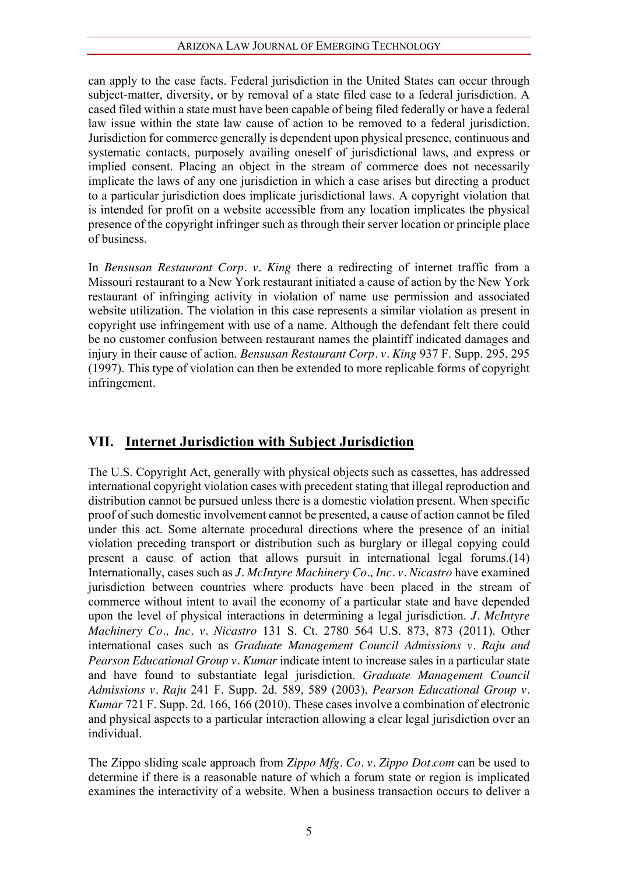can apply to the case facts. Federal jurisdiction in the United States can occur through subject-matter, diversity, or by removal of a state filed case to a federal jurisdiction. A cased filed within a state must have been capable of being filed federally or have a federal law issue within the state law cause of action to be removed to a federal jurisdiction. Jurisdiction for commerce generally is dependent upon physical presence, continuous and systematic contacts, purposely availing oneself of jurisdictional laws, and express or implied consent. Placing an object in the stream of commerce does not necessarily implicate the laws of any one jurisdiction in which a case arises but directing a product to a particular jurisdiction does implicate jurisdictional laws. A copyright violation that is intended for profit on a website accessible from any location implicates the physical presence of the copyright infringer such as through their server location or principle place of business.

In *Bensusan Restaurant Corp. v. King* there a redirecting of internet traffic from a Missouri restaurant to a New York restaurant initiated a cause of action by the New York restaurant of infringing activity in violation of name use permission and associated website utilization. The violation in this case represents a similar violation as present in copyright use infringement with use of a name. Although the defendant felt there could be no customer confusion between restaurant names the plaintiff indicated damages and injury in their cause of action. *Bensusan Restaurant Corp. v. King* 937 F. Supp. 295, 295 (1997). This type of violation can then be extended to more replicable forms of copyright infringement.

# **VII. Internet Jurisdiction with Subject Jurisdiction**

The U.S. Copyright Act, generally with physical objects such as cassettes, has addressed international copyright violation cases with precedent stating that illegal reproduction and distribution cannot be pursued unless there is a domestic violation present. When specific proof of such domestic involvement cannot be presented, a cause of action cannot be filed under this act. Some alternate procedural directions where the presence of an initial violation preceding transport or distribution such as burglary or illegal copying could present a cause of action that allows pursuit in international legal forums.(14) Internationally, cases such as *J. McIntyre Machinery Co., Inc. v. Nicastro* have examined jurisdiction between countries where products have been placed in the stream of commerce without intent to avail the economy of a particular state and have depended upon the level of physical interactions in determining a legal jurisdiction. *J. McIntyre Machinery Co., Inc. v. Nicastro* 131 S. Ct. 2780 564 U.S. 873, 873 (2011). Other international cases such as *Graduate Management Council Admissions v. Raju and Pearson Educational Group v. Kumar* indicate intent to increase sales in a particular state and have found to substantiate legal jurisdiction. *Graduate Management Council Admissions v. Raju* 241 F. Supp. 2d. 589, 589 (2003), *Pearson Educational Group v. Kumar* 721 F. Supp. 2d. 166, 166 (2010). These cases involve a combination of electronic and physical aspects to a particular interaction allowing a clear legal jurisdiction over an individual.

The Zippo sliding scale approach from *Zippo Mfg. Co. v. Zippo Dot.com* can be used to determine if there is a reasonable nature of which a forum state or region is implicated examines the interactivity of a website. When a business transaction occurs to deliver a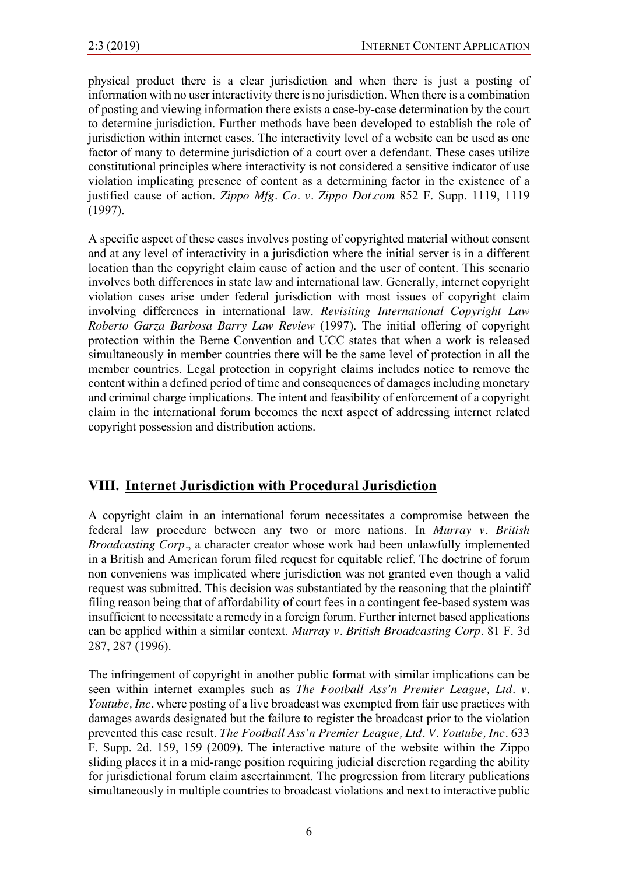physical product there is a clear jurisdiction and when there is just a posting of information with no user interactivity there is no jurisdiction. When there is a combination of posting and viewing information there exists a case-by-case determination by the court to determine jurisdiction. Further methods have been developed to establish the role of jurisdiction within internet cases. The interactivity level of a website can be used as one factor of many to determine jurisdiction of a court over a defendant. These cases utilize constitutional principles where interactivity is not considered a sensitive indicator of use violation implicating presence of content as a determining factor in the existence of a justified cause of action. *Zippo Mfg. Co. v. Zippo Dot.com* 852 F. Supp. 1119, 1119 (1997).

A specific aspect of these cases involves posting of copyrighted material without consent and at any level of interactivity in a jurisdiction where the initial server is in a different location than the copyright claim cause of action and the user of content. This scenario involves both differences in state law and international law. Generally, internet copyright violation cases arise under federal jurisdiction with most issues of copyright claim involving differences in international law. *Revisiting International Copyright Law Roberto Garza Barbosa Barry Law Review* (1997). The initial offering of copyright protection within the Berne Convention and UCC states that when a work is released simultaneously in member countries there will be the same level of protection in all the member countries. Legal protection in copyright claims includes notice to remove the content within a defined period of time and consequences of damages including monetary and criminal charge implications. The intent and feasibility of enforcement of a copyright claim in the international forum becomes the next aspect of addressing internet related copyright possession and distribution actions.

# **VIII. Internet Jurisdiction with Procedural Jurisdiction**

A copyright claim in an international forum necessitates a compromise between the federal law procedure between any two or more nations. In *Murray v. British Broadcasting Corp.*, a character creator whose work had been unlawfully implemented in a British and American forum filed request for equitable relief. The doctrine of forum non conveniens was implicated where jurisdiction was not granted even though a valid request was submitted. This decision was substantiated by the reasoning that the plaintiff filing reason being that of affordability of court fees in a contingent fee-based system was insufficient to necessitate a remedy in a foreign forum. Further internet based applications can be applied within a similar context. *Murray v. British Broadcasting Corp.* 81 F. 3d 287, 287 (1996).

The infringement of copyright in another public format with similar implications can be seen within internet examples such as *The Football Ass'n Premier League, Ltd. v. Youtube, Inc.* where posting of a live broadcast was exempted from fair use practices with damages awards designated but the failure to register the broadcast prior to the violation prevented this case result. *The Football Ass'n Premier League, Ltd. V. Youtube, Inc.* 633 F. Supp. 2d. 159, 159 (2009). The interactive nature of the website within the Zippo sliding places it in a mid-range position requiring judicial discretion regarding the ability for jurisdictional forum claim ascertainment. The progression from literary publications simultaneously in multiple countries to broadcast violations and next to interactive public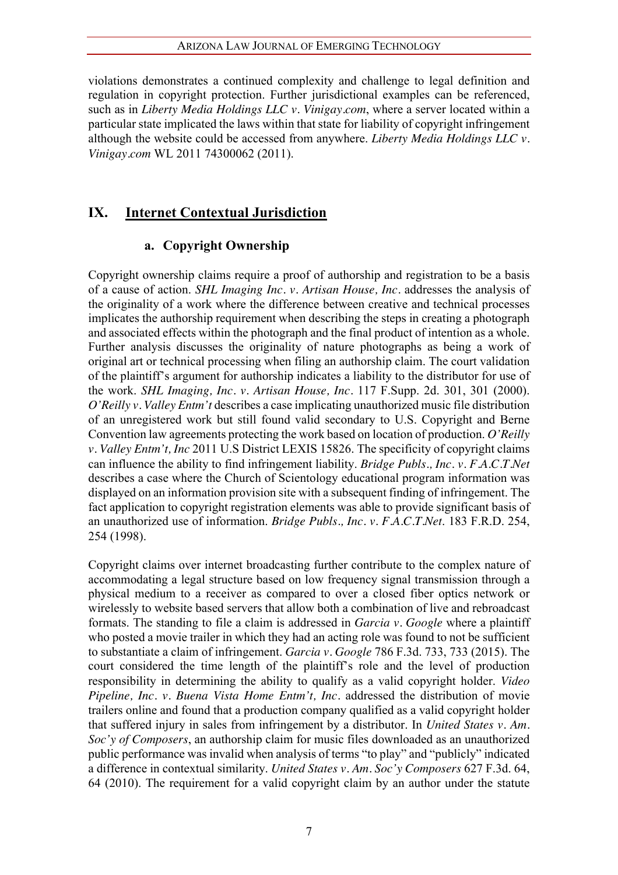#### ARIZONA LAW JOURNAL OF EMERGING TECHNOLOGY

violations demonstrates a continued complexity and challenge to legal definition and regulation in copyright protection. Further jurisdictional examples can be referenced, such as in *Liberty Media Holdings LLC v. Vinigay.com*, where a server located within a particular state implicated the laws within that state for liability of copyright infringement although the website could be accessed from anywhere. *Liberty Media Holdings LLC v. Vinigay.com* WL 2011 74300062 (2011).

#### **IX. Internet Contextual Jurisdiction**

#### **a. Copyright Ownership**

Copyright ownership claims require a proof of authorship and registration to be a basis of a cause of action. *SHL Imaging Inc. v. Artisan House, Inc.* addresses the analysis of the originality of a work where the difference between creative and technical processes implicates the authorship requirement when describing the steps in creating a photograph and associated effects within the photograph and the final product of intention as a whole. Further analysis discusses the originality of nature photographs as being a work of original art or technical processing when filing an authorship claim. The court validation of the plaintiff's argument for authorship indicates a liability to the distributor for use of the work. *SHL Imaging, Inc. v. Artisan House, Inc.* 117 F.Supp. 2d. 301, 301 (2000). *O'Reilly v. Valley Entm't* describes a case implicating unauthorized music file distribution of an unregistered work but still found valid secondary to U.S. Copyright and Berne Convention law agreements protecting the work based on location of production. *O'Reilly v. Valley Entm't, Inc* 2011 U.S District LEXIS 15826. The specificity of copyright claims can influence the ability to find infringement liability. *Bridge Publs., Inc. v. F.A.C.T.Net*  describes a case where the Church of Scientology educational program information was displayed on an information provision site with a subsequent finding of infringement. The fact application to copyright registration elements was able to provide significant basis of an unauthorized use of information. *Bridge Publs., Inc. v. F.A.C.T.Net*. 183 F.R.D. 254, 254 (1998).

Copyright claims over internet broadcasting further contribute to the complex nature of accommodating a legal structure based on low frequency signal transmission through a physical medium to a receiver as compared to over a closed fiber optics network or wirelessly to website based servers that allow both a combination of live and rebroadcast formats. The standing to file a claim is addressed in *Garcia v. Google* where a plaintiff who posted a movie trailer in which they had an acting role was found to not be sufficient to substantiate a claim of infringement. *Garcia v. Google* 786 F.3d. 733, 733 (2015). The court considered the time length of the plaintiff's role and the level of production responsibility in determining the ability to qualify as a valid copyright holder. *Video Pipeline, Inc. v. Buena Vista Home Entm't, Inc.* addressed the distribution of movie trailers online and found that a production company qualified as a valid copyright holder that suffered injury in sales from infringement by a distributor. In *United States v. Am. Soc'y of Composers*, an authorship claim for music files downloaded as an unauthorized public performance was invalid when analysis of terms "to play" and "publicly" indicated a difference in contextual similarity. *United States v. Am. Soc'y Composers* 627 F.3d. 64, 64 (2010). The requirement for a valid copyright claim by an author under the statute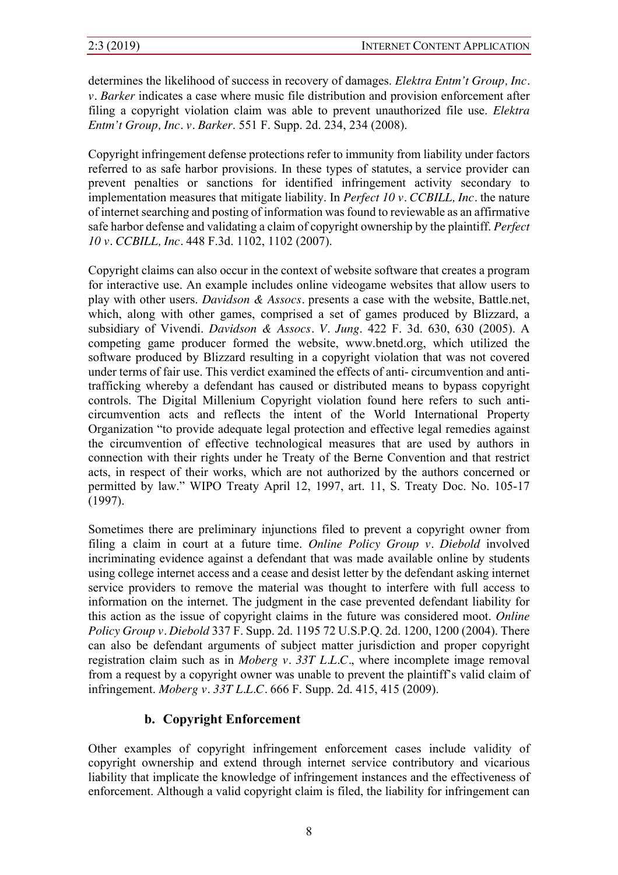determines the likelihood of success in recovery of damages. *Elektra Entm't Group, Inc. v. Barker* indicates a case where music file distribution and provision enforcement after filing a copyright violation claim was able to prevent unauthorized file use. *Elektra Entm't Group, Inc. v. Barker*. 551 F. Supp. 2d. 234, 234 (2008).

Copyright infringement defense protections refer to immunity from liability under factors referred to as safe harbor provisions. In these types of statutes, a service provider can prevent penalties or sanctions for identified infringement activity secondary to implementation measures that mitigate liability. In *Perfect 10 v. CCBILL, Inc.* the nature of internet searching and posting of information was found to reviewable as an affirmative safe harbor defense and validating a claim of copyright ownership by the plaintiff. *Perfect 10 v. CCBILL, Inc.* 448 F.3d. 1102, 1102 (2007).

Copyright claims can also occur in the context of website software that creates a program for interactive use. An example includes online videogame websites that allow users to play with other users. *Davidson & Assocs.* presents a case with the website, Battle.net, which, along with other games, comprised a set of games produced by Blizzard, a subsidiary of Vivendi. *Davidson & Assocs. V. Jung*. 422 F. 3d. 630, 630 (2005). A competing game producer formed the website, www.bnetd.org, which utilized the software produced by Blizzard resulting in a copyright violation that was not covered under terms of fair use. This verdict examined the effects of anti- circumvention and antitrafficking whereby a defendant has caused or distributed means to bypass copyright controls. The Digital Millenium Copyright violation found here refers to such anticircumvention acts and reflects the intent of the World International Property Organization "to provide adequate legal protection and effective legal remedies against the circumvention of effective technological measures that are used by authors in connection with their rights under he Treaty of the Berne Convention and that restrict acts, in respect of their works, which are not authorized by the authors concerned or permitted by law." WIPO Treaty April 12, 1997, art. 11, S. Treaty Doc. No. 105-17 (1997).

Sometimes there are preliminary injunctions filed to prevent a copyright owner from filing a claim in court at a future time. *Online Policy Group v. Diebold* involved incriminating evidence against a defendant that was made available online by students using college internet access and a cease and desist letter by the defendant asking internet service providers to remove the material was thought to interfere with full access to information on the internet. The judgment in the case prevented defendant liability for this action as the issue of copyright claims in the future was considered moot. *Online Policy Group v. Diebold* 337 F. Supp. 2d. 1195 72 U.S.P.Q. 2d. 1200, 1200 (2004). There can also be defendant arguments of subject matter jurisdiction and proper copyright registration claim such as in *Moberg v. 33T L.L.C.*, where incomplete image removal from a request by a copyright owner was unable to prevent the plaintiff's valid claim of infringement. *Moberg v. 33T L.L.C.* 666 F. Supp. 2d. 415, 415 (2009).

#### **b. Copyright Enforcement**

Other examples of copyright infringement enforcement cases include validity of copyright ownership and extend through internet service contributory and vicarious liability that implicate the knowledge of infringement instances and the effectiveness of enforcement. Although a valid copyright claim is filed, the liability for infringement can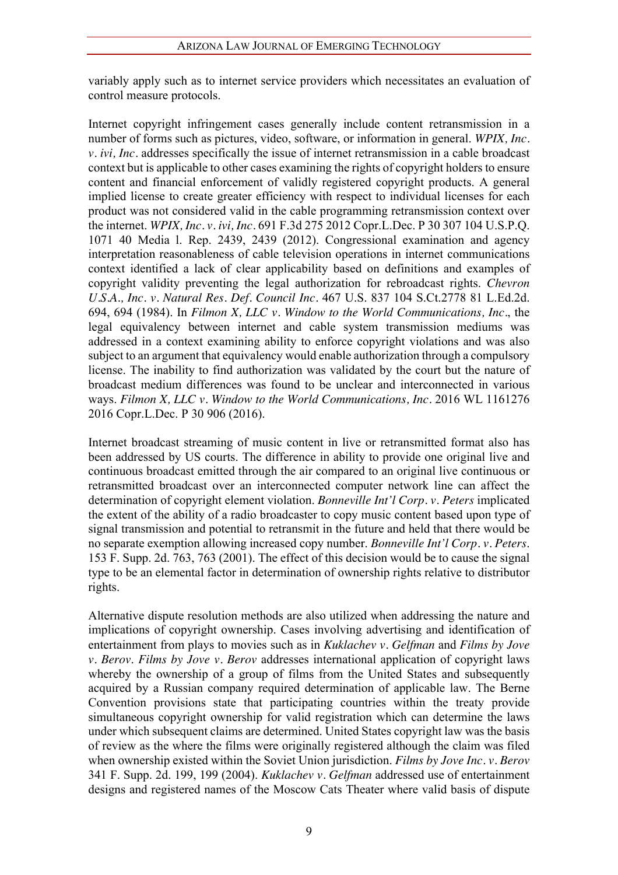variably apply such as to internet service providers which necessitates an evaluation of control measure protocols.

Internet copyright infringement cases generally include content retransmission in a number of forms such as pictures, video, software, or information in general. *WPIX, Inc. v. ivi, Inc.* addresses specifically the issue of internet retransmission in a cable broadcast context but is applicable to other cases examining the rights of copyright holders to ensure content and financial enforcement of validly registered copyright products. A general implied license to create greater efficiency with respect to individual licenses for each product was not considered valid in the cable programming retransmission context over the internet. *WPIX, Inc. v. ivi, Inc.* 691 F.3d 275 2012 Copr.L.Dec. P 30 307 104 U.S.P.Q. 1071 40 Media l. Rep. 2439, 2439 (2012). Congressional examination and agency interpretation reasonableness of cable television operations in internet communications context identified a lack of clear applicability based on definitions and examples of copyright validity preventing the legal authorization for rebroadcast rights. *Chevron U.S.A., Inc. v. Natural Res. Def. Council Inc.* 467 U.S. 837 104 S.Ct.2778 81 L.Ed.2d. 694, 694 (1984). In *Filmon X, LLC v. Window to the World Communications, Inc.*, the legal equivalency between internet and cable system transmission mediums was addressed in a context examining ability to enforce copyright violations and was also subject to an argument that equivalency would enable authorization through a compulsory license. The inability to find authorization was validated by the court but the nature of broadcast medium differences was found to be unclear and interconnected in various ways. *Filmon X, LLC v. Window to the World Communications, Inc.* 2016 WL 1161276 2016 Copr.L.Dec. P 30 906 (2016).

Internet broadcast streaming of music content in live or retransmitted format also has been addressed by US courts. The difference in ability to provide one original live and continuous broadcast emitted through the air compared to an original live continuous or retransmitted broadcast over an interconnected computer network line can affect the determination of copyright element violation. *Bonneville Int'l Corp. v. Peters* implicated the extent of the ability of a radio broadcaster to copy music content based upon type of signal transmission and potential to retransmit in the future and held that there would be no separate exemption allowing increased copy number. *Bonneville Int'l Corp. v. Peters*. 153 F. Supp. 2d. 763, 763 (2001). The effect of this decision would be to cause the signal type to be an elemental factor in determination of ownership rights relative to distributor rights.

Alternative dispute resolution methods are also utilized when addressing the nature and implications of copyright ownership. Cases involving advertising and identification of entertainment from plays to movies such as in *Kuklachev v. Gelfman* and *Films by Jove v. Berov*. *Films by Jove v. Berov* addresses international application of copyright laws whereby the ownership of a group of films from the United States and subsequently acquired by a Russian company required determination of applicable law. The Berne Convention provisions state that participating countries within the treaty provide simultaneous copyright ownership for valid registration which can determine the laws under which subsequent claims are determined. United States copyright law was the basis of review as the where the films were originally registered although the claim was filed when ownership existed within the Soviet Union jurisdiction. *Films by Jove Inc. v. Berov*  341 F. Supp. 2d. 199, 199 (2004). *Kuklachev v. Gelfman* addressed use of entertainment designs and registered names of the Moscow Cats Theater where valid basis of dispute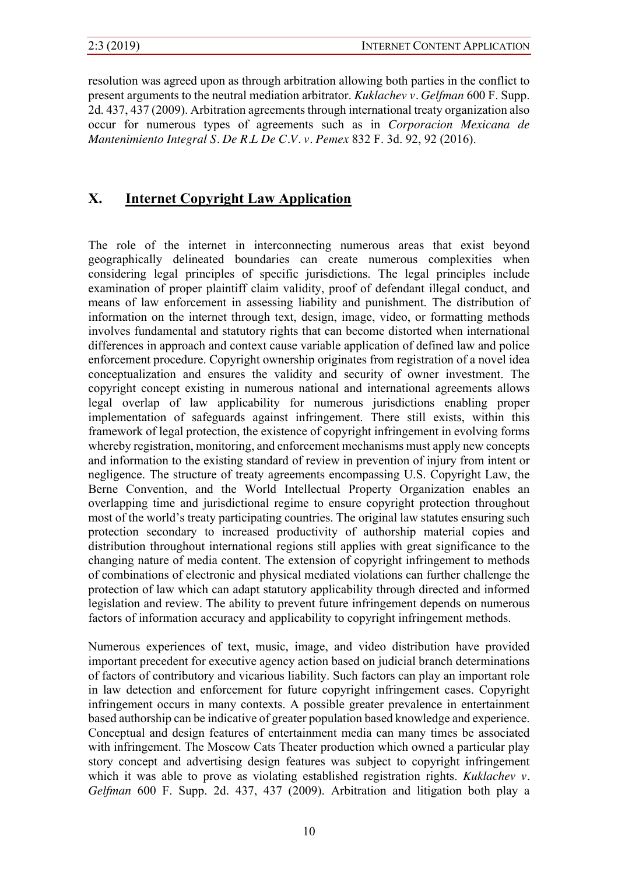resolution was agreed upon as through arbitration allowing both parties in the conflict to present arguments to the neutral mediation arbitrator. *Kuklachev v. Gelfman* 600 F. Supp. 2d. 437, 437 (2009). Arbitration agreements through international treaty organization also occur for numerous types of agreements such as in *Corporacion Mexicana de Mantenimiento Integral S. De R.L De C.V. v. Pemex* 832 F. 3d. 92, 92 (2016).

# **X. Internet Copyright Law Application**

The role of the internet in interconnecting numerous areas that exist beyond geographically delineated boundaries can create numerous complexities when considering legal principles of specific jurisdictions. The legal principles include examination of proper plaintiff claim validity, proof of defendant illegal conduct, and means of law enforcement in assessing liability and punishment. The distribution of information on the internet through text, design, image, video, or formatting methods involves fundamental and statutory rights that can become distorted when international differences in approach and context cause variable application of defined law and police enforcement procedure. Copyright ownership originates from registration of a novel idea conceptualization and ensures the validity and security of owner investment. The copyright concept existing in numerous national and international agreements allows legal overlap of law applicability for numerous jurisdictions enabling proper implementation of safeguards against infringement. There still exists, within this framework of legal protection, the existence of copyright infringement in evolving forms whereby registration, monitoring, and enforcement mechanisms must apply new concepts and information to the existing standard of review in prevention of injury from intent or negligence. The structure of treaty agreements encompassing U.S. Copyright Law, the Berne Convention, and the World Intellectual Property Organization enables an overlapping time and jurisdictional regime to ensure copyright protection throughout most of the world's treaty participating countries. The original law statutes ensuring such protection secondary to increased productivity of authorship material copies and distribution throughout international regions still applies with great significance to the changing nature of media content. The extension of copyright infringement to methods of combinations of electronic and physical mediated violations can further challenge the protection of law which can adapt statutory applicability through directed and informed legislation and review. The ability to prevent future infringement depends on numerous factors of information accuracy and applicability to copyright infringement methods.

Numerous experiences of text, music, image, and video distribution have provided important precedent for executive agency action based on judicial branch determinations of factors of contributory and vicarious liability. Such factors can play an important role in law detection and enforcement for future copyright infringement cases. Copyright infringement occurs in many contexts. A possible greater prevalence in entertainment based authorship can be indicative of greater population based knowledge and experience. Conceptual and design features of entertainment media can many times be associated with infringement. The Moscow Cats Theater production which owned a particular play story concept and advertising design features was subject to copyright infringement which it was able to prove as violating established registration rights. *Kuklachev v. Gelfman* 600 F. Supp. 2d. 437, 437 (2009). Arbitration and litigation both play a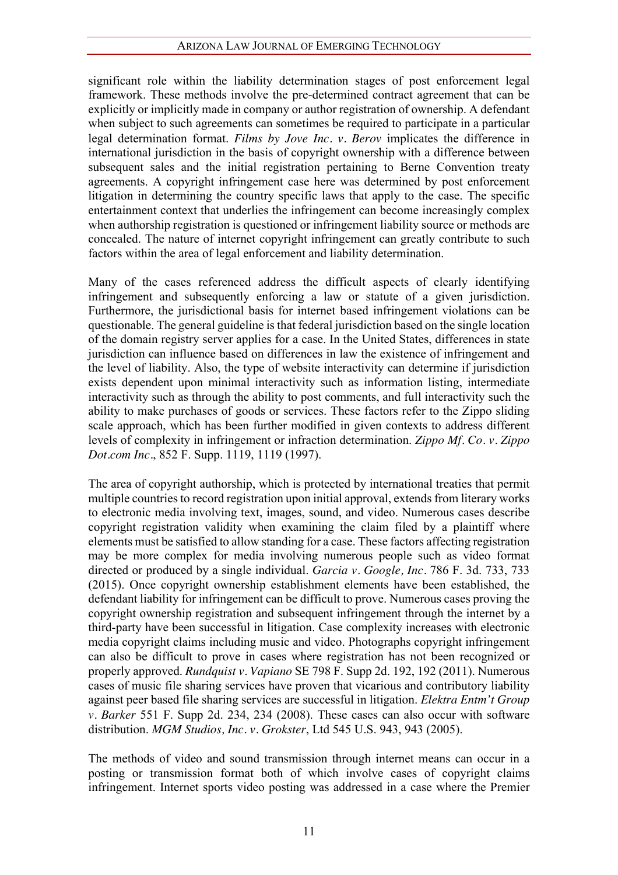significant role within the liability determination stages of post enforcement legal framework. These methods involve the pre-determined contract agreement that can be explicitly or implicitly made in company or author registration of ownership. A defendant when subject to such agreements can sometimes be required to participate in a particular legal determination format. *Films by Jove Inc. v. Berov* implicates the difference in international jurisdiction in the basis of copyright ownership with a difference between subsequent sales and the initial registration pertaining to Berne Convention treaty agreements. A copyright infringement case here was determined by post enforcement litigation in determining the country specific laws that apply to the case. The specific entertainment context that underlies the infringement can become increasingly complex when authorship registration is questioned or infringement liability source or methods are concealed. The nature of internet copyright infringement can greatly contribute to such factors within the area of legal enforcement and liability determination.

Many of the cases referenced address the difficult aspects of clearly identifying infringement and subsequently enforcing a law or statute of a given jurisdiction. Furthermore, the jurisdictional basis for internet based infringement violations can be questionable. The general guideline is that federal jurisdiction based on the single location of the domain registry server applies for a case. In the United States, differences in state jurisdiction can influence based on differences in law the existence of infringement and the level of liability. Also, the type of website interactivity can determine if jurisdiction exists dependent upon minimal interactivity such as information listing, intermediate interactivity such as through the ability to post comments, and full interactivity such the ability to make purchases of goods or services. These factors refer to the Zippo sliding scale approach, which has been further modified in given contexts to address different levels of complexity in infringement or infraction determination. *Zippo Mf. Co. v. Zippo Dot.com Inc.*, 852 F. Supp. 1119, 1119 (1997).

The area of copyright authorship, which is protected by international treaties that permit multiple countries to record registration upon initial approval, extends from literary works to electronic media involving text, images, sound, and video. Numerous cases describe copyright registration validity when examining the claim filed by a plaintiff where elements must be satisfied to allow standing for a case. These factors affecting registration may be more complex for media involving numerous people such as video format directed or produced by a single individual. *Garcia v. Google, Inc.* 786 F. 3d. 733, 733 (2015). Once copyright ownership establishment elements have been established, the defendant liability for infringement can be difficult to prove. Numerous cases proving the copyright ownership registration and subsequent infringement through the internet by a third-party have been successful in litigation. Case complexity increases with electronic media copyright claims including music and video. Photographs copyright infringement can also be difficult to prove in cases where registration has not been recognized or properly approved. *Rundquist v. Vapiano* SE 798 F. Supp 2d. 192, 192 (2011). Numerous cases of music file sharing services have proven that vicarious and contributory liability against peer based file sharing services are successful in litigation. *Elektra Entm't Group v. Barker* 551 F. Supp 2d. 234, 234 (2008). These cases can also occur with software distribution. *MGM Studios, Inc. v. Grokster*, Ltd 545 U.S. 943, 943 (2005).

The methods of video and sound transmission through internet means can occur in a posting or transmission format both of which involve cases of copyright claims infringement. Internet sports video posting was addressed in a case where the Premier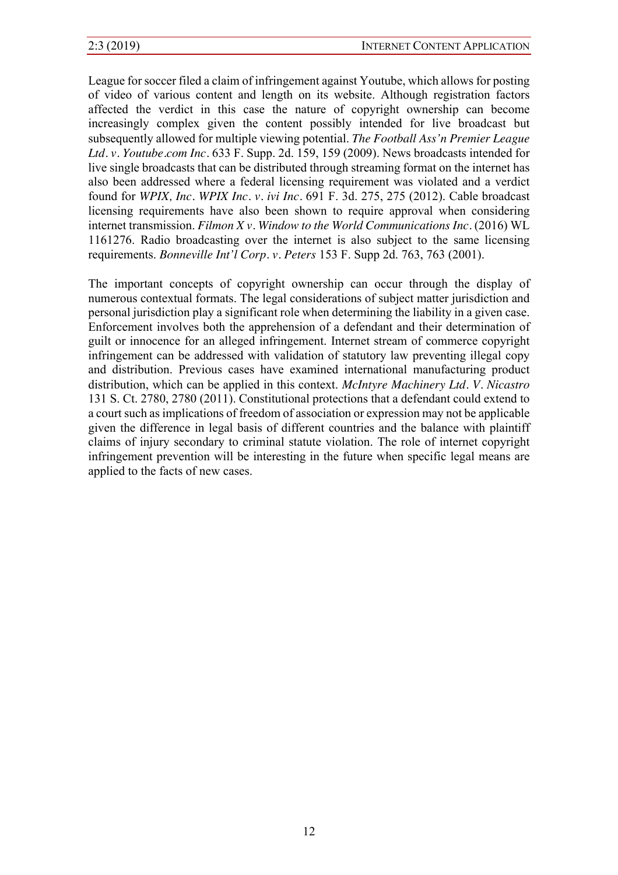League for soccer filed a claim of infringement against Youtube, which allows for posting of video of various content and length on its website. Although registration factors affected the verdict in this case the nature of copyright ownership can become increasingly complex given the content possibly intended for live broadcast but subsequently allowed for multiple viewing potential. *The Football Ass'n Premier League Ltd. v. Youtube.com Inc.* 633 F. Supp. 2d. 159, 159 (2009). News broadcasts intended for live single broadcasts that can be distributed through streaming format on the internet has also been addressed where a federal licensing requirement was violated and a verdict found for *WPIX, Inc. WPIX Inc. v. ivi Inc.* 691 F. 3d. 275, 275 (2012). Cable broadcast licensing requirements have also been shown to require approval when considering internet transmission. *Filmon X v. Window to the World Communications Inc.* (2016) WL 1161276. Radio broadcasting over the internet is also subject to the same licensing requirements. *Bonneville Int'l Corp. v. Peters* 153 F. Supp 2d. 763, 763 (2001).

The important concepts of copyright ownership can occur through the display of numerous contextual formats. The legal considerations of subject matter jurisdiction and personal jurisdiction play a significant role when determining the liability in a given case. Enforcement involves both the apprehension of a defendant and their determination of guilt or innocence for an alleged infringement. Internet stream of commerce copyright infringement can be addressed with validation of statutory law preventing illegal copy and distribution. Previous cases have examined international manufacturing product distribution, which can be applied in this context. *McIntyre Machinery Ltd. V. Nicastro*  131 S. Ct. 2780, 2780 (2011). Constitutional protections that a defendant could extend to a court such as implications of freedom of association or expression may not be applicable given the difference in legal basis of different countries and the balance with plaintiff claims of injury secondary to criminal statute violation. The role of internet copyright infringement prevention will be interesting in the future when specific legal means are applied to the facts of new cases.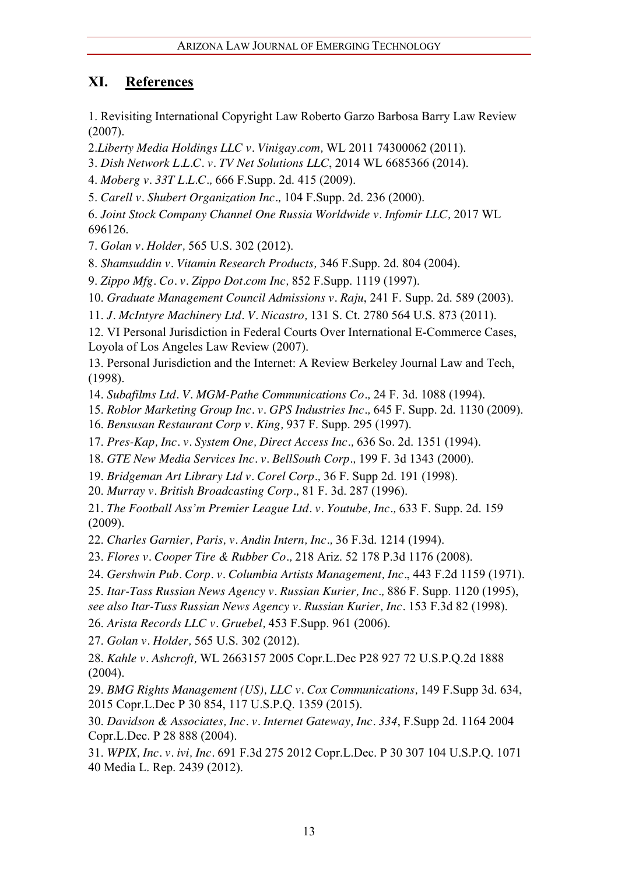# **XI. References**

1. Revisiting International Copyright Law Roberto Garzo Barbosa Barry Law Review (2007).

2.*Liberty Media Holdings LLC v. Vinigay.com,* WL 2011 74300062 (2011).

3. *Dish Network L.L.C. v. TV Net Solutions LLC*, 2014 WL 6685366 (2014).

4. *Moberg v. 33T L.L.C.,* 666 F.Supp. 2d. 415 (2009).

5. *Carell v. Shubert Organization Inc.,* 104 F.Supp. 2d. 236 (2000).

6. *Joint Stock Company Channel One Russia Worldwide v. Infomir LLC,* 2017 WL 696126.

7. *Golan v. Holder,* 565 U.S. 302 (2012).

8. *Shamsuddin v. Vitamin Research Products,* 346 F.Supp. 2d. 804 (2004).

9. *Zippo Mfg. Co. v. Zippo Dot.com Inc,* 852 F.Supp. 1119 (1997).

10. *Graduate Management Council Admissions v. Raju*, 241 F. Supp. 2d. 589 (2003).

11. *J. McIntyre Machinery Ltd. V. Nicastro,* 131 S. Ct. 2780 564 U.S. 873 (2011).

12. VI Personal Jurisdiction in Federal Courts Over International E-Commerce Cases, Loyola of Los Angeles Law Review (2007).

13. Personal Jurisdiction and the Internet: A Review Berkeley Journal Law and Tech, (1998).

14. *Subafilms Ltd. V. MGM-Pathe Communications Co.,* 24 F. 3d. 1088 (1994).

15. *Roblor Marketing Group Inc. v. GPS Industries Inc.,* 645 F. Supp. 2d. 1130 (2009).

16. *Bensusan Restaurant Corp v. King,* 937 F. Supp. 295 (1997).

17. *Pres-Kap, Inc. v. System One, Direct Access Inc.,* 636 So. 2d. 1351 (1994).

18. *GTE New Media Services Inc. v. BellSouth Corp.,* 199 F. 3d 1343 (2000).

19. *Bridgeman Art Library Ltd v. Corel Corp.,* 36 F. Supp 2d. 191 (1998).

20. *Murray v. British Broadcasting Corp.,* 81 F. 3d. 287 (1996).

21. *The Football Ass'm Premier League Ltd. v. Youtube, Inc.,* 633 F. Supp. 2d. 159 (2009).

22. *Charles Garnier, Paris, v. Andin Intern, Inc.,* 36 F.3d. 1214 (1994).

23. *Flores v. Cooper Tire & Rubber Co.,* 218 Ariz. 52 178 P.3d 1176 (2008).

24. *Gershwin Pub. Corp. v. Columbia Artists Management, Inc.*, 443 F.2d 1159 (1971).

25. *Itar-Tass Russian News Agency v. Russian Kurier, Inc.,* 886 F. Supp. 1120 (1995),

*see also Itar-Tuss Russian News Agency v. Russian Kurier, Inc.* 153 F.3d 82 (1998).

26. *Arista Records LLC v. Gruebel,* 453 F.Supp. 961 (2006).

27. *Golan v. Holder,* 565 U.S. 302 (2012).

28. *Kahle v. Ashcroft,* WL 2663157 2005 Copr.L.Dec P28 927 72 U.S.P.Q.2d 1888 (2004).

29. *BMG Rights Management (US), LLC v. Cox Communications,* 149 F.Supp 3d. 634, 2015 Copr.L.Dec P 30 854, 117 U.S.P.Q. 1359 (2015).

30. *Davidson & Associates, Inc. v. Internet Gateway, Inc. 334*, F.Supp 2d. 1164 2004 Copr.L.Dec. P 28 888 (2004).

31. *WPIX, Inc. v. ivi, Inc.* 691 F.3d 275 2012 Copr.L.Dec. P 30 307 104 U.S.P.Q. 1071 40 Media L. Rep. 2439 (2012).